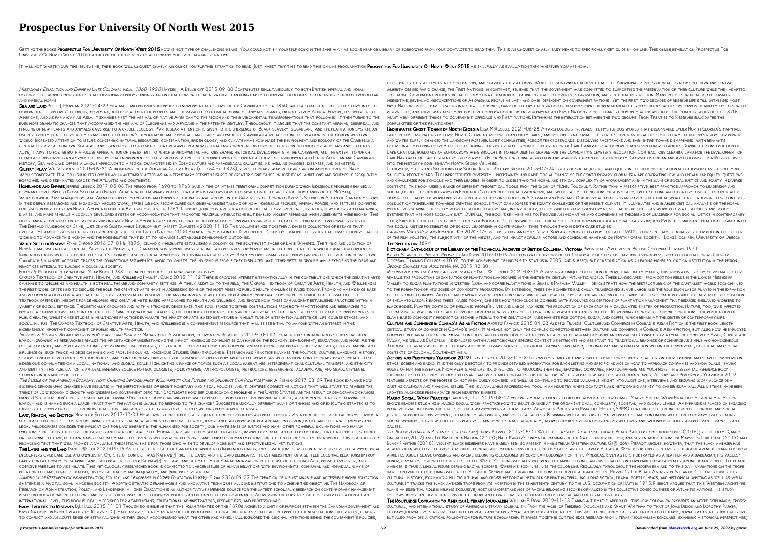## **Prospectus For University Of North West 2015**

GETTING THE BOOKS **PROSPECTUS FOR UNIVERSITY OF NORTH WEST 2015** NOW IS NOT TYPE OF CHALLENGING MEANS. YOU COULD NOT BY YOURSELF GOING IN THE SAME WAY AS BOOKS HEAP OR LIBRARY OR BORROWING FROM YOUR CONTACTS TO READ THEM. University Of North West 2015 can be one of the options to accompany you gone having extra time.

IT WILL NOT WASTE YOUR TIME. BELIEVE ME, THE E-BOOK WILL UNQUESTIONABLY ANNOUNCE YOU FURTHER SITUATION TO READ. JUST INVEST TINY TIME TO READ THIS ON-LINE PROCLAMATION PROSPECTUS FOR UNIVERSITY OF NORTH WEST 2015 AS SKILLF

MISSIONARY EDUCATION AND EMPIRE IN LATE COLONIAL INDIA, 1860-1920 HAYDEN J A BELLENOIT 2015-09-30 CONTRIBUTES SIMULTANEOUSLY TO BOTH BRITISH IMPERIAL AND INDIAN history. This work demonstrates that missionary understandings and interactions with India, rather than being party to imperial ideologies, often diverged from metropolitan and imperial norms.

SEA AND LAND PHILIP J. MORGAN 2022-04-29 SEA AND LAND PROVIDES AN IN-DEPTH ENVIRONMENTAL HISTORY OF THE CARIBBEAN TO CA 1850, WITH A CODA THAT TAKES THE STORY INTO THE modern era. It explores the mixing, movement, and displacement of peoples and the parallel ecological mixing of animals, plants, microbes from Africa, Europe, elsewhere in the Americas, and as far away as Asia. It examines first the arrival of Native American to the region and the environmental transformations that followed. It then turns to the even more dramatic changes that accompanied the arrival of Europeans and Africans in the fifteenth century. Throughout it argues that the constant arrival, dispersal, and mingling of new plants and animals gave rise to a creole ecology. Particular attention is given to the emergence of Black slavery, sugarcane, and the plantation system, an unholy trinity that thoroughly transformed the region's demographic and physical landscapes and made the Caribbean a vital site in the creation of the modern western world. Increased attention to issues concerning natural resources, conservation, epidemiology, and climate have now made the environment and ecology of the Caribbean a central historical concern. Sea and Land is an effort to integrate that research in a new general environmental history of the region. Intended for scholars and students alike, it aims to foster both a fuller appreciation of the extent to which environmental factors shaped historical developments in the Caribbean, and the extent to which human actions have transformed the biophysical environment of the region over time. The combined work of eminent authors of environment and Latin American and Caribbean history, Sea and Land offers a unique approach to a region characterized by Edenic nature and paradisiacal qualities, as well as dangers, diseases, and disasters. Gilbert Imlay Wil Verhoeven 2015-09-30 A biography of the American Gilbert Imlay (c 1754 - c 1828), revolutionary war veteran - and infamous lover of Mary Wollstonecraft. It also highlights how Imlay unwittingly acted as an intermediary between figures of greater significance, whose ideas, ambitions and schemes he frequently borrowed and disseminated across the Atlantic and continents.

Homelands and Empires Leffers Lennox 2017-05-08 The period from 1690 to 1763 was a time of intense territorial competition during which Indigenous peoples remained a dominant force. British Nova Scotia and French Acadia were imaginary places that administrators hoped to graft over the ancestral homelands of the Mi'kmaq, Wulstukwiuk, Passamaquoddy, and Abenaki peoples. Homelands and Empires is the inaugural volume in the University of Toronto Press's Studies in Atlantic Canada History. In this deeply researched and engagingly argued work, Jeffers Lennox reconfigures our general understanding of how Indigenous peoples, imperial forces, and settlers competed for space in northeastern North America before the British conquest in 1763. Lennox's judicious investigation of official correspondence, treaties, newspapers and magazines, diaries, and maps reveals a locally developed system of accommodation that promoted peaceful interactions but enabled violent reprisals when agreements were broken. This outstanding contribution to scholarship on early North America questions the nature and practice of imperial expansion in the face of Indigenous territorial strength. The Emerald Handbook of Crime, Justice and Sustainable Development Jarrett Blaustein 2020-11-18 This volume brings together a diverse collection of essays that critically examine issues relating to crime and justice in the United Nations 2030 Agenda for Sustainable Development. Chapters examine the issues that practitioners face in working to advance this agenda and the possibilities that exist to advance sustainable development outcomes.

WHITE SETTLER RESERVE RYAN EYFORD 2016-07-01 IN 1875, ICELANDIC IMMIGRANTS ESTABLISHED A COLONY ON THE SOUTHWEST SHORE OF LAKE WINNIPEG. THE TIMING AND LOCATION OF New Iceland was not accidental. Across the Prairies, the Canadian government was creating land reserves for Europeans in the hope that the agricultural development of Indigenous lands would support the state's economic and political ambitions. In this innovative history, Ryan Eyford expands our understanding of the creation of western Canada: his nuanced account traces the connections between Icelandic colonists, the Indigenous people they displaced, and other settler groups while exposing the ideas and practices integral to building a colonial society.

Indigenous Studies: Breakthroughs in Research and Practice Management Association, Information Resources 2019-10-11 Global interest in indigenous studies has been rapidly growing as researchers realize the importance of understanding the impact indigenous communities can have on the economy, development, education, and more. As the use, acceptance, and popularity of indigenous knowledge increases, it is crucial to explore how this community-based knowledge provides deeper insights, understanding, and influence on such things as decision making and problem solving. Indigenous Studies: Breakthroughs in Research and Practice examines the politics, culture, language, history, socio-economic development, methodologies, and contemporary experiences of indigenous peoples from around the world, as well as how contemporary issues impact these indigenous communities on a local, national, and global scale. Highlighting a range of topics such as local narratives, intergenerational cultural transfer, and ethnicity and identity, this publication is an ideal reference source for sociologists, policymakers, anthropologists, instructors, researchers, academicians, and graduate-level students in a variety of fields.

THE PUZZLE OF THE AMERICAN ECONOMY: HOW CHANGING DEMOGRAPHICS WILL AFFECT OUR FUTURE AND INFLUENCE OUR POLITICS MARK A. PISANO 2017-03-09 THIS BOOK EXPLAINS HOW sweeping demographic changes have resulted in the ineffectiveness of recent monetary and fiscal policies, and it identifies corrective actions that will start to reverse the trends of low economic growth and widespread government deficits. • Spotlights how serious economic problems in the United States are the result of demographic changes many U.S. citizens don't yet recognize are occurring • Documents how changing demography results from collective individual choice, a phenomenon that is occurring so rapidly and is having such a large impact that the nation is unable to respond to this change • Suggests radically different ways of thinking and of executing strategies to harness the power of collective individual choice and address the driving force behind sweeping demographic changes

THE LAWS AND THE LAND DANIEL RE CK 2021-09-15 AS THE SETTLER STATE OF CANADA EXPANDED INTO INDIGENOUS LANDS, TWO TRADITIONS CLASHED IN A BRUISING SERIES OF ASYMMETRICAL encounters over land use and ownership. One site of conflict was Kahnaw $\boxed{P}$  :ke. The Laws and the Land delineates the establishment of a settler colonial relationship from EARLY CONTACT WAYS OF SHARING LAND; LAND PRACTICES UNDER KAHNAW $[$  :KE LAW; and ultimately the Canadian invasion in the guise of the Indian Act, private property, and coercive pressure to assimilate. This meticulously researched book is connected to larger issues of human relations with environments, communal and individual ways of relating to land, legal pluralism, historical racism and inequality, and Indigenous resurgence.

Editor & Publisher International Year Book 1988 The encyclopedia of the newspaper industry.

HANDBOOK OF RESEARCH ON ADMINISTRATION, POLICY, AND LEADERSHIP IN HIGHER EDUCATION MUKERJI, SIRAN 2016-09-27 THE CREATION OF A SUSTAINABLE AND ACCESSIBLE HIGHER EDUCATION systems is a pivotal goal in modern society. Adopting strategic frameworks and innovative techniques allows institutions to achieve this objective. The Handbook of Research on Administration, Policy, and Leadership in Higher Education is an authoritative reference source for the latest scholarly research on contemporary management issues in educational institutions and presents best practices to improve policies and retain effective governance. Addressing the current state of higher education at an international level, this book is ideally designed for academicians, educational administrators, researchers, and professionals.

FROM TREATIES TO RESERVES D.J. HALL 2015-11-01 THOUGH SOME BELIEVE THAT THE INDIAN TREATIES OF THE 1870s ACHIEVED A UNITY OF PURPOSE BETWEEN THE CANADIAN GOVERNMENT AND First Nations, in From Treaties to Reserves D.J. Hall asserts that - as a result of profound cultural differences - each side interpreted the negotiations differently, leading to conflict and an acute sense of betrayal when neither group accomplished what the other had asked. Hall explores the original intentions behind the government's policies,

THE SPECTATOR 1894

Oxford Textbook of Creative Arts, Health, and Wellbeing Paul M. Camic 2015-11-12 There is growing interest internationally in the contributions which the creative arts can make to wellbeing and health in both healthcare and community settings. A timely addition to the field, the Oxford Textbook of Creative Arts, Health, and Wellbeing is THE FIRST WORK OF ITS KIND TO DISCUSS THE ROLE THE CREATIVE ARTS HAVE IN ADDRESSING SOME OF THE MOST PRESSING PUBLIC HEALTH CHALLENGES FACED TODAY. PROVIDING AN EVIDENCE-BASE and recommendations for a wide audience, this is an essential resource for anyone involved with this increasingly important component of public health practice. The textbook offers key insights for developing new creative arts-based approaches to health and wellbeing, and shows how these can augment established practices within a variety of social settings. Theoretically grounded and with a strong evidence base, this book brings together contributions from both practitioners and researches to provide a comprehensive account of the field. Using international examples, the textbook elucidates the various approaches that have successfully led to improvements in public health, whilst case studies in healthcare practices evaluate the impact of arts-based initiatives in a multitude of international settings, life-course stages, and social milieus. The Oxford Textbook of Creative Arts, Health, and Wellbeing is a comprehensive resource that will be essential to anyone with an interest in this increasingly important component of public health practice.

LAUGHING NORTH KOREANS IMMANUEL KIM 2020-07-15 THIS STUDY ANALYZES NORTH KOREAN COMEDY FILMS FROM THE LATE 1960S TO PRESENT DAY. IT ANALYZES THEIR ROLE IN THE CULTURE of the film industry, the subjectivity of the viewer, and the impact popular actors and comedians have had on North Korean society.--Dong Hoon Kim, University of Oregon

Law, Reason, and Emotion Mortimer Sellers 2017-10-31 How law is considered is a frequent theme of scholars and practitioners. As a product of societal norms, law is a multifaceted concept. This volume brings together leading academics to explore the role, importance and power of reason and emotion in justice and the law. Lawyers and legal philosophers consider the implications for law inherent in the human need for society, our innate sense of justice and many other powerful inclinations and human emotions - including the desire for fairness and even for law itself. Human beings are deeply social creatures, inspired by social and other emotions that can ennoble, support or undermine the law, but law gains legitimacy and effectiveness when reason recognizes and embraces human emotions for the benefit of society as a whole. This is a thoughtprovoking text that will provide a valuable theoretical basis for those who wish to develop more just and effective legal institutions.

MACRO SOCIAL WORK PRACTICE CAROLYN J. TICE 2019-08-07 EMPOWER YOUR STUDENTS TO BECOME ADVOCATES FOR CHANGE. MACRO SOCIAL WORK PRACTICE: ADVOCACY IN ACTION shows readers studying in macro social work practice how to enact change at the organizational, community, societal, and global levels. An emphasis is placed on engaging in macro practice using the tenets of the award-winning author team's Advocacy Policy and Practice Model (APPM) that highlight the inclusion of economic and social justice, supportive environment, human needs and rights, and political access. Beginning with a history of macro practice and continuing with contemporary issues facing

illustrates their attempts at cooperation, and clarifies their actions. While the government believed that the Aboriginal peoples of what is now southern and central Alberta desired rapid change, the First Nations, in contrast, believed that the government was committed to supporting the preservation of their culture while they adapted to change. Government policies intended to motivate backfired, leading instead to poverty, starvation, and cultural restriction. Many policies were also culturally insensitive, revealing misconceptions of Aboriginal people as lazy and over-dependent on government rations. Yet the first two decades of reserve life still witnessed most First Nations people participating in reserve economies, many of the first generation of reserve-born children graduated from schools with some improved ability to cope with reserve life, and there was also more positive cooperation between government and First Nations people than is commonly acknowledged. The Indian treaties of the 1870s meant very different things to government officials and First Nations. Rethinking the interaction between the two groups, From Treaties to Reserves elucidates the complexities of this relationship.

Underwater Ghost Towns of North Georgia Lisa M Russell 2021-06-28 An archeologist reveals the mysterious world that disappeared under North Georgia's man-made lakes in this fascinating history. North Georgia has more than forty lakes, and not one is natural. The state's controversial decision to dam the region's rivers for power and water supply changed the landscape forever. Lost communities, forgotten crossroads, dissolving racetracks and even entire towns disappeared, with remnants occasionally peeking up from the depths during times of extreme drought. The creation of Lake Lanier displaced more than seven hundred families. During the construction of LAKE CHATUGE, BUSLOADS OF SCHOOLBOYS WERE BROUGHT IN TO HELP DISINTER GRAVES FOR THE COMMUNITY'S CEMETERY RELOCATION. CONTRACTORS CLEARING LAND FOR THE DEVELOPMENT OF Lake Hartwell met with seventy-eight-year-old Eliza Brock wielding a shotgun and warning the men off her property. Georgia historian and archeologist Lisa Russell dives into the history hidden beneath North Georgia's lakes.

Leadership, Ethics and Schooling for Social Justice Richard Niesche 2015-07-24 Issues of social justice and equity in the field of educational leadership have become more salient in recent years. The unprecedented diversity, uncertainty and rapid social change of the contemporary global era are generating new and unfamiliar equity questions and challenges for schools and their leaders. In order to understand the moral and ethical complexity of work undertaken in the name of social justice and equity in diverse contexts, this book uses a range of different theoretical tools from the work of Michel Foucault. Rather than a prescriptive, best practice approach to leadership and social justice, this book draws on Foucault's four-fold ethical framework, and specifically, the notions of advocacy, truth-telling and counter-conduct to critically examine the leadership work undertaken in case studies in schools in Australia and England. Our approach makes transparent the ethical work that leaders in these contexts conduct on themselves towards creating schools that can address the equity challenges of the present climate. It illuminates and enables critical analysis of the moral imperatives shaping the equity work of school leaders and, in particular, the possibilities for transformative leadership that can work to create schools and school systems that are more socially just. Overall, the book's key aims are to: Provide an innovative and comprehensive theorising of leadership for social justice in contemporary times; Explicate the utility of key elements of Foucault's theorising of the ethical self to the domain of educational leadership; and Provide significant practical insight into the social justice possibilities of school leadership in contemporary times through two in depth case studies

Dictionary Catalogue of the Library of the Provincial Archives of British Columbia, Victoria Provincial Archives of British Columbia. Library 1971 Bright Star in the Present Prospect Ian Dunn 2015-10-19 An illustrated history of the University of Chester charting its progress from the foundation as Chester

Diocesan Training College in 1839, to the achievement of university status in 2005, and subsequent consolidation as a leading higher education institution in the region. SECOND CHANCES FOR ADULTS NA NA 2015-12-30 RECONSTRUCTING THE LANDSCAPES OF SLAVERY DALE W. TOMICH 2021-03-19 ASSESSING A UNIQUE COLLECTION OF MORE THAN EIGHTY IMAGES, THIS INNOVATIVE STUDY OF VISUAL CULTURE reveals the productive organization of plantation landscapes in the nineteenth-century Atlantic world. These landscapes—from cotton fields in the Lower Mississippi Valley to sugar plantations in western Cuba and coffee plantations in Brazil's Paraiba Valley—demonstrate how the restructuring of the capitalist world economy led to the formation of new zones of commodity production. By extension, these environments radically transformed slave labor and the role such labor played in the expansion of the global economy. Artists and mapmakers documented in surprising detail how the physical organization of the landscape itself made possible the increased exploitation of enslaved labor. Reading these images today, one sees how technologies combined with evolving conceptions of plantation management that reduced enslaved workers to black bodies. Planter control of enslaved people's lives and labor maximized the production of each crop in a calculated system of production. Nature, too, was affected: the massive increase in the scale of production and new systems of cultivation increased the land's output. Responding to world economic conditions, the replication of slave-based commodity production became integral to the creation of mass markets for cotton, sugar, and coffee, which remain at the center of contemporary life. Culture and Commerce in Conrad's Asian Fiction Andrew Francis 2015-04-23 Andrew Francis' Culture and Commerce in Conrad's Asian Fiction is the first book-length critical study of commerce in Conrad's work. It reveals not only the complex connections between culture and commerce in Conrad's Asian fiction, but also how he employed commerce in characterization, moral contexts, and his depiction of relations at a point of advanced European imperialism. Conrad's treatment of commerce - Arab, Chinese and MALAY, AS WELL AS EUROPEAN - IS EXPLORED WITHIN A HISTORICALLY SPECIFIC CONTEXT AS INTRICATE AND RESISTANT TO TRADITIONAL READINGS OF COMMERCE AS SIMPLE AND HOMOGENEOUS. Through the analysis of both literary and non-literary sources, this book examines capitalism, colonialism and globalization within the commercial, political and social

contexts of colonial Southeast Asia. ACTORS AND PERFORMERS YEARBOOK 2019 LLOYD TROTT 2018-10-18 THIS WELL-ESTABLISHED AND RESPECTED DIRECTORY SUPPORTS ACTORS IN THEIR TRAINING AND SEARCH FOR WORK ON stage, screen and radio. It is the only directory to provide detailed information for each listing and specific advice on how to approach companies and individuals, saving

hours of further research. From agents and casting directors to producing theatres, showreel companies, photographers and much more, this essential reference book editorially selects only the most relevant and reputable contacts for the actor. With several new articles and commentaries, Actors and Performers Yearbook 2019 features aspects of the profession not previously covered, as well as continuing to provide valuable insight into auditions, interviews and securing work alongside a casting calendar and financial issues. This is a valuable professional tool in an industry where contacts and networking are key to career survival. All listings have been updated alongside fresh advice from industry experts.

social workers, this new text helps readers learn how to enact advocacy, informed by key orientations and perspectives and grounded in timely and relevant examples and causes. The Bla*ck Avenger in Atlantic Culture* Gr**P, gory Pierrot 2019-05-01 With the Ta-Nehisi** Coates-authored Black Panther comic book series (2016); recent films Django Unchained (2012) and The Birth of a Nation (2016); Nate Parker's cinematic imagining of the Nat Turner rebellion; and screen adaptations of Marvel's Luke Cage (2016) and BLACK PANTHER (2018); VIOLENT BLACK REDEEMERS HAVE RARELY BEEN SO PRESENT IN MAINSTREAM WESTERN CULTURE. GR**P** GORY PIERROT ARGUES, HOWEVER, THAT THE BLACK AVENGER HAS always been with us: the trope has fired the news and imaginations of the United States and the larger Atlantic World for three centuries. The black avenger channeled fresh anxieties about slave uprisings and racial belonging occasioned by European colonization in the Americas. Even as he is portrayed as a heathen and a barbarian, his valueshonor, loyalty, love-reflect his ties to the West. Yet being racially different, he cannot belong, and his qualities in turn make him an anomaly among black people. The black avenger is thus a liminal figure defining racial borders. Where his body lies, lies the color line. Regularly throughout the modern era and to this day, variations on the trope have contributed to defining race in the Atlantic World and thwarting the constitution of a black polity. Pierrot's The Black Avenger in Atlantic Culture studies this cultural history, examining a multicultural and cross-historical network of print material including fiction, drama, poetry, news, and historical writing as well as visual culture. It tracks the black avenger trope from its inception in the seventeenth century to the U.S. occupation of Haiti in 1915. Pierrot argues that this Western archetype plays an essential role in helping exclusive, hostile understandings of racial belonging become normalized in the collective consciousness of Atlantic nations. His study follows important articulations of the figure and how it has shifted based on historical and cultural contexts. The Routledge Companion to American Literary Journalism William E. Dow 2019-11-13 Taking a thematic approach, this new companion provides an interdisciplinary, crosscultural, and international study of American literary journalism. From the work of Frederick Douglass and Walt Whitman to that of Joan Didion and Dorothy Parker,

literary journalism is a genre that both reveals and shapes American history and identity. This volume not only calls attention to literary journalism as a distinctive genre but also provides a critical foundation for future scholarship. It brings together cutting-edge research from literary journalism scholars, examining historical perspectives;